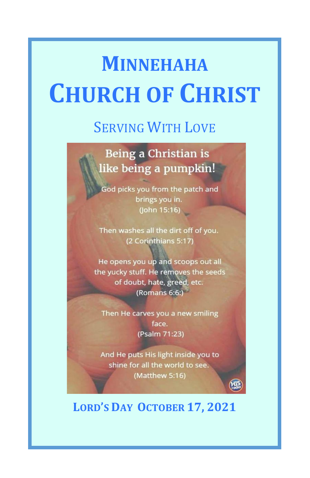# **MINNEHAHA CHURCH OF CHRIST**

## SERVING WITH LOVE

## Being a Christian is like being a pumpkin!

God picks you from the patch and brings you in. (John 15:16)

Then washes all the dirt off of you. (2 Corinthians 5:17)

He opens you up and scoops out all the yucky stuff. He removes the seeds of doubt, hate, greed, etc. (Romans 6:6:)

Then He carves you a new smiling face. (Psalm 71:23)

And He puts His light inside you to shine for all the world to see. (Matthew 5:16)

## **LORD'S DAY OCTOBER 17, 2021**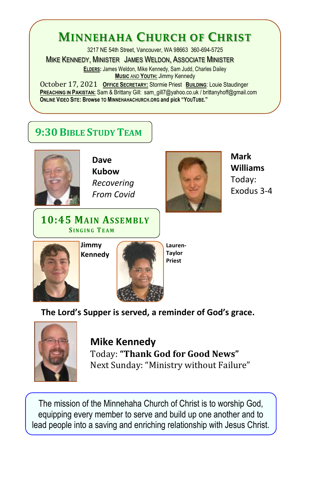## **MINNEHAHA CHURCH OF CHRIST**

3217 NE 54th Street, Vancouver, WA 98663 360-694-5725

MIKE KENNEDY, MINISTER JAMES WELDON, ASSOCIATE MINISTER

**ELDERS:** James Weldon, Mike Kennedy, Sam Judd, Charles Dailey **MUSIC** AND **YOUTH:** Jimmy Kennedy

**October 17, 2021 OFFICE SECRETARY:** Stormie Priest **BUILDING**: Louie Staudinger **PREACHING IN PAKISTAN:** Sam & Brittany Gill: sam\_gill7@yahoo.co.uk / brittanyhoff@gmail.com **ONLINE VIDEO SITE: Browse TO MINNEHAHACHURCH.ORG and pick "YOUTUBE."**

Honoring those who have passed on: MINNEHAHACHURCH.ORG/HONORING.HTML

## **9:30 BIBLE STUDY TEAM**



**Dave Kubow** *Recovering From Covid*

**10:45 MAIN ASSEMBLY S I N G I N G TEAM**



**Mark Williams** Today: Exodus 3-4





**Lauren-Taylor Priest**

**The Lord's Supper is served, a reminder of God's grace.**



**Mike Kennedy** Today: **"Thank God for Good News"** Next Sunday: "Ministry without Failure"

The mission of the Minnehaha Church of Christ is to worship God, equipping every member to serve and build up one another and to lead people into a saving and enriching relationship with Jesus Christ.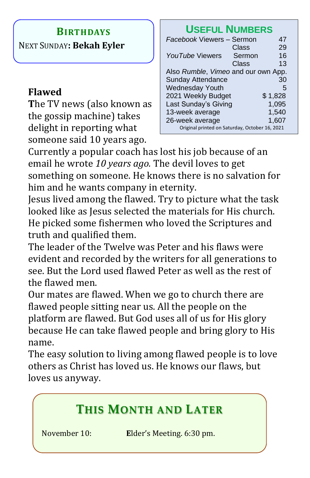#### **BIRTHDAYS**

NEXT SUNDAY**: Bekah Eyler**

#### **Flawed**

**T**he TV news (also known as the gossip machine) takes delight in reporting what someone said 10 years ago.

### **USEFUL NUMBERS**

| Facebook Viewers - Sermon                      |        | 47      |
|------------------------------------------------|--------|---------|
|                                                | Class  | 29      |
| YouTube Viewers                                | Sermon | 16      |
|                                                | Class  | 13      |
| Also Rumble, Vimeo and our own App.            |        |         |
| <b>Sunday Attendance</b>                       |        | 30      |
| <b>Wednesday Youth</b>                         |        | 5       |
| 2021 Weekly Budget                             |        | \$1,828 |
| Last Sunday's Giving                           |        | 1,095   |
| 13-week average                                |        | 1,540   |
| 26-week average                                |        | 1,607   |
| Original printed on Saturday, October 16, 2021 |        |         |

Currently a popular coach has lost his job because of an email he wrote *10 years ago.* The devil loves to get something on someone. He knows there is no salvation for him and he wants company in eternity.

Jesus lived among the flawed. Try to picture what the task looked like as Jesus selected the materials for His church. He picked some fishermen who loved the Scriptures and truth and qualified them.

The leader of the Twelve was Peter and his flaws were evident and recorded by the writers for all generations to see. But the Lord used flawed Peter as well as the rest of the flawed men.

Our mates are flawed. When we go to church there are flawed people sitting near us. All the people on the platform are flawed. But God uses all of us for His glory because He can take flawed people and bring glory to His name.

The easy solution to living among flawed people is to love others as Christ has loved us. He knows our flaws, but loves us anyway.

## **THIS MONTH AND LATER**

November 10: **E**lder's Meeting. 6:30 pm.